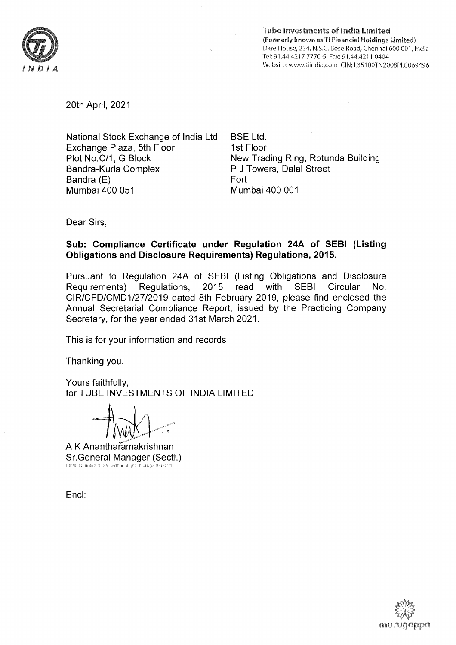

Tube lnvestments of lndia Limited (Formerly known asTl Financial Holdings Limited) Dare House,234, N.S.C. Bose Road, Chennai 600 001, lndia Tel: 91.44.4217 7770-5 Fax: 91.44.4211 0404 Website: www.tiindia.com CIN: L35100TN2008PLC069496

20th April,2021

National Stock Exchange of lndia Ltd Exchange Plaza, Sth Floor Plot No.C/1, G Block Bandra-Kurla Complex Bandra (E) Mumbai 400 051

BSE Ltd. 1st Floor New Trading Ring, Rotunda Building P J Towers, Dalal Street Fort Mumbai 400 001

Dear Sirs,

## Sub: Compliance Certificate under Regulation 244 of SEBI (Listing Obligations and Disclosure Requirements) Regulations, 2015.

Pursuant to Regulation 24A of SEBI (Listing Obligations and Disclosure Requirements) Regulations, 2015 read with SEBI Circular No. CIR/CFD/CMD112712019 dated 8th February 2019, please find enclosed the Annual Secretarial Compliance Report, issued by the Practicing Company Secretary, for the year ended 31st March 2021 .

This is for your information and records

Thanking you,

Yours faithfully, for TUBE INVESTMENTS OF IND|A LIMITED

A K Anantharamakrishnan Sr.General Manager (Sectl.) [:n]airl r.l: ariaritilerarnlaklrshn,rr(a)tr rnurrr{J.r'jpil conl

Encl;

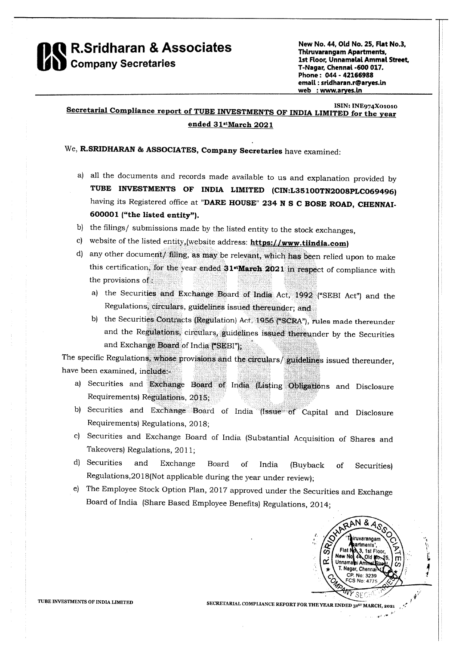

New No. 44, Old No. 25, Flat No.3, **Thiruvarangam Apartments.** 1st Floor, Unnamalai Ammal Street, T-Nagar, Chennai -600 017. Phone: 044 - 42166988 email: sridharan.r@aryes.in web : www.aryes.in

## **ISIN: INE974X01010** Secretarial Compliance report of TUBE INVESTMENTS OF INDIA LIMITED for the year ended 31stMarch 2021

## We, R.SRIDHARAN & ASSOCIATES, Company Secretaries have examined:

- a) all the documents and records made available to us and explanation provided by TUBE INVESTMENTS OF INDIA LIMITED (CIN:L35100TN2008PLC069496) having its Registered office at "DARE HOUSE" 234 N S C BOSE ROAD, CHENNAI-600001 ("the listed entity").
- b) the filings/ submissions made by the listed entity to the stock exchanges,
- c) website of the listed entity, (website address:  $\frac{https://www.tiindia.com)}{https://www.tiindia.com)}$
- d) any other document/ filing, as may be relevant, which has been relied upon to make this certification, for the year ended 31<sup>t</sup>March 2021 in respect of compliance with the provisions of:
	- a) the Securities and Exchange Board of India Act, 1992 ("SEBI Act") and the Regulations, circulars, guidelines issued thereunder; and
	- b) the Securities Contracts (Regulation) Act, 1956 ("SCRA"), rules made thereunder and the Regulations, circulars, guidelines issued thereunder by the Securities and Exchange Board of India ("SEBI");

The specific Regulations, whose provisions and the circulars/guidelines issued thereunder, have been examined, include:-

- a) Securities and Exchange Board of India (Listing Obligations and Disclosure Requirements) Regulations, 2015;
- b) Securities and Exchange Board of India (Issue of Capital and Disclosure Requirements) Regulations, 2018;
- c) Securities and Exchange Board of India (Substantial Acquisition of Shares and Takeovers) Regulations, 2011;
- d) Securities and Exchange Board of India (Buyback of Securities) Regulations, 2018(Not applicable during the year under review);
- e) The Employee Stock Option Plan, 2017 approved under the Securities and Exchange Board of India (Share Based Employee Benefits) Regulations, 2014;



مورا دررا

TUBE INVESTMENTS OF INDIA LIMITED

SECRETARIAL COMPLIANCE REPORT FOR THE YEAR ENDED 315T MARCH, 2021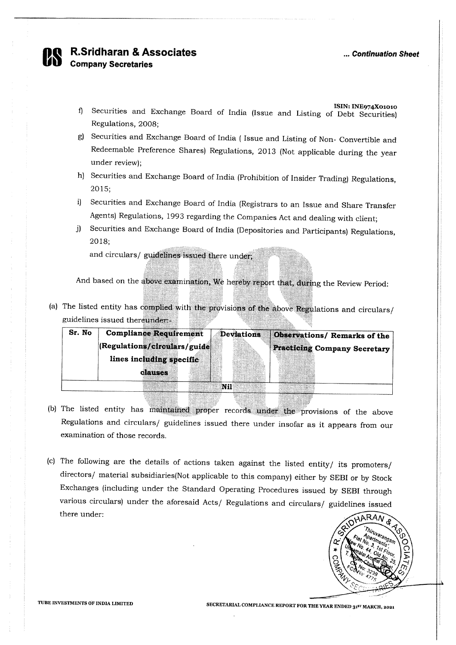

R.Sridharan & Associates<br>Company Secretaries

- f) Securities and Exchange Board of India (Issue and Listing of Debt Securities) Regulations, 2OO8;
- g) Securities and Exchange Board of India ( Issue and Listing of Non- Convertible and Redeemable Preference Shares) Regulations, 2013 (Not applicable during the year under review);
- h) Securities and Exchange Board of India (Prohibition of Insider Trading) Regulations, 2015;
- i) Securities and Exchange Board of India (Registrars to an Issue and Share Transfer Agents) Regulations, 1993 regarding the Companies Act and dealing with client; j) Securities and Exchange Board of India (Depositories and Participants) Regulations,
- 2018;

and circulars/ guidelines issued there under.

And based on the above examination, We hereby report that, during the Review Period

a) The listed entity has complied with the provisions of the above Regulations and circulars/ guidelines issued

| Sr. No | <b>Compliance Requirement</b> | <b>Deviations</b> | Dbservations/Remarks of the         |
|--------|-------------------------------|-------------------|-------------------------------------|
|        | (Regulations/circulars/guide  |                   | <b>Practicing Company Secretary</b> |
|        | lines including specific      |                   |                                     |
|        | clauses                       |                   |                                     |
|        |                               |                   |                                     |
|        |                               |                   |                                     |
|        |                               |                   |                                     |

- b) The listed entity has maintained proper records under the provisions of the above Regulations and circulars/ guidelines issued there under insofar as it appears from our examination of those records
- (c) The following are the details of actions taken against the listed entity/ its promoters/ directors/ material subsidiaries(Not applicable to this company) either by SEBI or by Stock Exchanges (including under the Standard Operating Procedures issued by SEBI through various circulars) under the aforesaid Acts/ Regulations and circulars/ guidelines issued there under



TUBE INVESTMENTS OF INDIA LIMITED SECRETARIAL COMPLIANCE REPORT FOR THE YEAR ENDED 31<sup>51</sup> MARCH, 2021